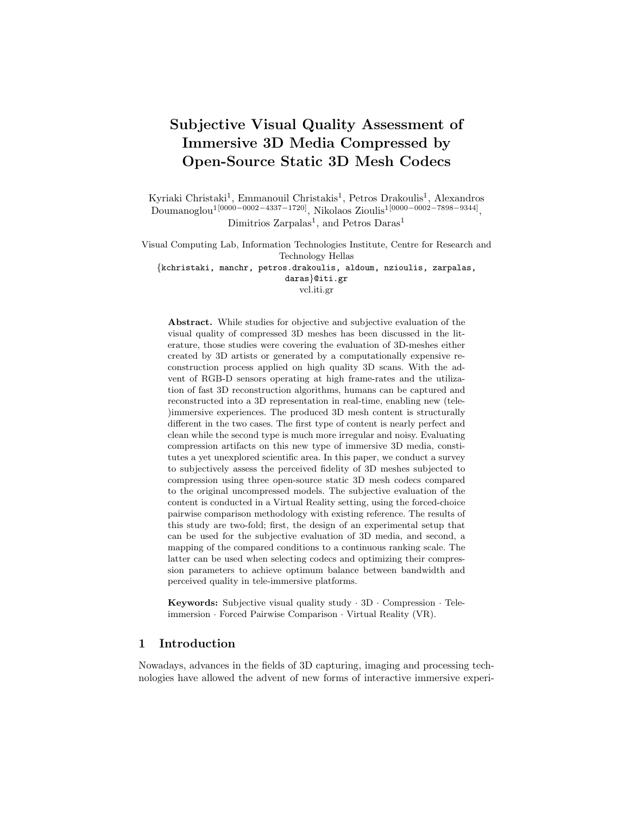# Subjective Visual Quality Assessment of Immersive 3D Media Compressed by Open-Source Static 3D Mesh Codecs

Kyriaki Christaki<sup>1</sup>, Emmanouil Christakis<sup>1</sup>, Petros Drakoulis<sup>1</sup>, Alexandros Doumanoglou1[0000−0002−4337−1720], Nikolaos Zioulis1[0000−0002−7898−9344] , Dimitrios Zarpalas<sup>1</sup>, and Petros Daras<sup>1</sup>

Visual Computing Lab, Information Technologies Institute, Centre for Research and Technology Hellas

{kchristaki, manchr, petros.drakoulis, aldoum, nzioulis, zarpalas, daras}@iti.gr

vcl.iti.gr

Abstract. While studies for objective and subjective evaluation of the visual quality of compressed 3D meshes has been discussed in the literature, those studies were covering the evaluation of 3D-meshes either created by 3D artists or generated by a computationally expensive reconstruction process applied on high quality 3D scans. With the advent of RGB-D sensors operating at high frame-rates and the utilization of fast 3D reconstruction algorithms, humans can be captured and reconstructed into a 3D representation in real-time, enabling new (tele- )immersive experiences. The produced 3D mesh content is structurally different in the two cases. The first type of content is nearly perfect and clean while the second type is much more irregular and noisy. Evaluating compression artifacts on this new type of immersive 3D media, constitutes a yet unexplored scientific area. In this paper, we conduct a survey to subjectively assess the perceived fidelity of 3D meshes subjected to compression using three open-source static 3D mesh codecs compared to the original uncompressed models. The subjective evaluation of the content is conducted in a Virtual Reality setting, using the forced-choice pairwise comparison methodology with existing reference. The results of this study are two-fold; first, the design of an experimental setup that can be used for the subjective evaluation of 3D media, and second, a mapping of the compared conditions to a continuous ranking scale. The latter can be used when selecting codecs and optimizing their compression parameters to achieve optimum balance between bandwidth and perceived quality in tele-immersive platforms.

**Keywords:** Subjective visual quality study  $\cdot$  3D  $\cdot$  Compression  $\cdot$  Teleimmersion · Forced Pairwise Comparison · Virtual Reality (VR).

## 1 Introduction

Nowadays, advances in the fields of 3D capturing, imaging and processing technologies have allowed the advent of new forms of interactive immersive experi-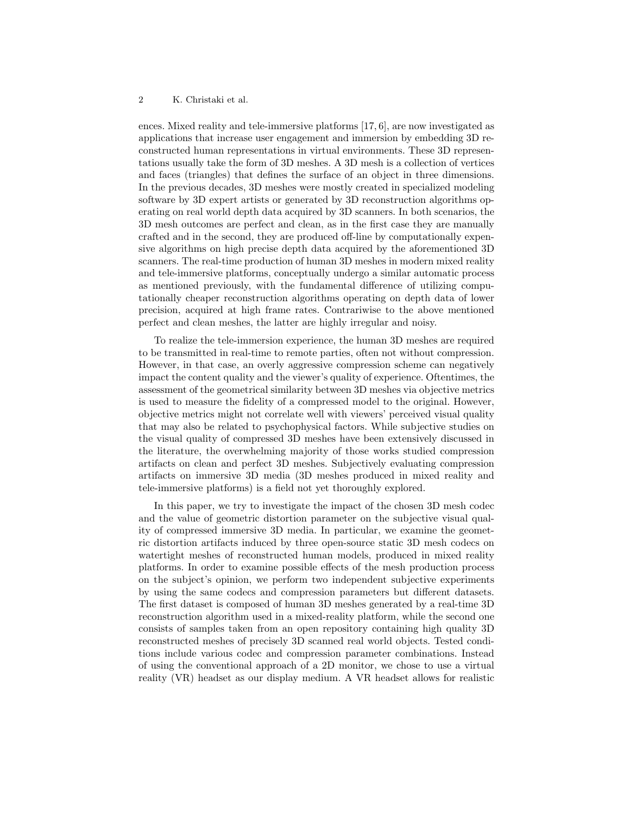#### 2 K. Christaki et al.

ences. Mixed reality and tele-immersive platforms [17, 6], are now investigated as applications that increase user engagement and immersion by embedding 3D reconstructed human representations in virtual environments. These 3D representations usually take the form of 3D meshes. A 3D mesh is a collection of vertices and faces (triangles) that defines the surface of an object in three dimensions. In the previous decades, 3D meshes were mostly created in specialized modeling software by 3D expert artists or generated by 3D reconstruction algorithms operating on real world depth data acquired by 3D scanners. In both scenarios, the 3D mesh outcomes are perfect and clean, as in the first case they are manually crafted and in the second, they are produced off-line by computationally expensive algorithms on high precise depth data acquired by the aforementioned 3D scanners. The real-time production of human 3D meshes in modern mixed reality and tele-immersive platforms, conceptually undergo a similar automatic process as mentioned previously, with the fundamental difference of utilizing computationally cheaper reconstruction algorithms operating on depth data of lower precision, acquired at high frame rates. Contrariwise to the above mentioned perfect and clean meshes, the latter are highly irregular and noisy.

To realize the tele-immersion experience, the human 3D meshes are required to be transmitted in real-time to remote parties, often not without compression. However, in that case, an overly aggressive compression scheme can negatively impact the content quality and the viewer's quality of experience. Oftentimes, the assessment of the geometrical similarity between 3D meshes via objective metrics is used to measure the fidelity of a compressed model to the original. However, objective metrics might not correlate well with viewers' perceived visual quality that may also be related to psychophysical factors. While subjective studies on the visual quality of compressed 3D meshes have been extensively discussed in the literature, the overwhelming majority of those works studied compression artifacts on clean and perfect 3D meshes. Subjectively evaluating compression artifacts on immersive 3D media (3D meshes produced in mixed reality and tele-immersive platforms) is a field not yet thoroughly explored.

In this paper, we try to investigate the impact of the chosen 3D mesh codec and the value of geometric distortion parameter on the subjective visual quality of compressed immersive 3D media. In particular, we examine the geometric distortion artifacts induced by three open-source static 3D mesh codecs on watertight meshes of reconstructed human models, produced in mixed reality platforms. In order to examine possible effects of the mesh production process on the subject's opinion, we perform two independent subjective experiments by using the same codecs and compression parameters but different datasets. The first dataset is composed of human 3D meshes generated by a real-time 3D reconstruction algorithm used in a mixed-reality platform, while the second one consists of samples taken from an open repository containing high quality 3D reconstructed meshes of precisely 3D scanned real world objects. Tested conditions include various codec and compression parameter combinations. Instead of using the conventional approach of a 2D monitor, we chose to use a virtual reality (VR) headset as our display medium. A VR headset allows for realistic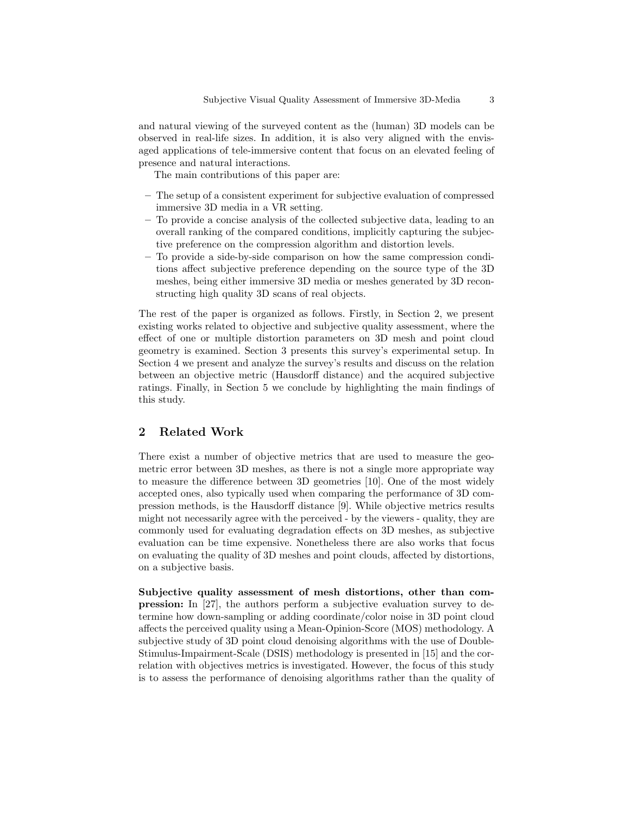and natural viewing of the surveyed content as the (human) 3D models can be observed in real-life sizes. In addition, it is also very aligned with the envisaged applications of tele-immersive content that focus on an elevated feeling of presence and natural interactions.

The main contributions of this paper are:

- The setup of a consistent experiment for subjective evaluation of compressed immersive 3D media in a VR setting.
- To provide a concise analysis of the collected subjective data, leading to an overall ranking of the compared conditions, implicitly capturing the subjective preference on the compression algorithm and distortion levels.
- To provide a side-by-side comparison on how the same compression conditions affect subjective preference depending on the source type of the 3D meshes, being either immersive 3D media or meshes generated by 3D reconstructing high quality 3D scans of real objects.

The rest of the paper is organized as follows. Firstly, in Section 2, we present existing works related to objective and subjective quality assessment, where the effect of one or multiple distortion parameters on 3D mesh and point cloud geometry is examined. Section 3 presents this survey's experimental setup. In Section 4 we present and analyze the survey's results and discuss on the relation between an objective metric (Hausdorff distance) and the acquired subjective ratings. Finally, in Section 5 we conclude by highlighting the main findings of this study.

## 2 Related Work

There exist a number of objective metrics that are used to measure the geometric error between 3D meshes, as there is not a single more appropriate way to measure the difference between 3D geometries [10]. One of the most widely accepted ones, also typically used when comparing the performance of 3D compression methods, is the Hausdorff distance [9]. While objective metrics results might not necessarily agree with the perceived - by the viewers - quality, they are commonly used for evaluating degradation effects on 3D meshes, as subjective evaluation can be time expensive. Nonetheless there are also works that focus on evaluating the quality of 3D meshes and point clouds, affected by distortions, on a subjective basis.

Subjective quality assessment of mesh distortions, other than compression: In [27], the authors perform a subjective evaluation survey to determine how down-sampling or adding coordinate/color noise in 3D point cloud affects the perceived quality using a Mean-Opinion-Score (MOS) methodology. A subjective study of 3D point cloud denoising algorithms with the use of Double-Stimulus-Impairment-Scale (DSIS) methodology is presented in [15] and the correlation with objectives metrics is investigated. However, the focus of this study is to assess the performance of denoising algorithms rather than the quality of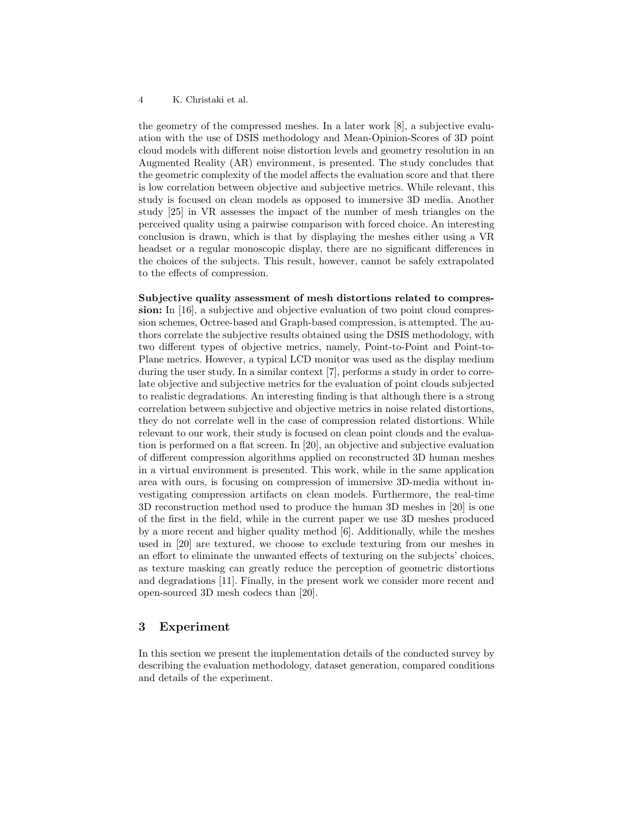#### 4 K. Christaki et al.

the geometry of the compressed meshes. In a later work [8], a subjective evaluation with the use of DSIS methodology and Mean-Opinion-Scores of 3D point cloud models with different noise distortion levels and geometry resolution in an Augmented Reality (AR) environment, is presented. The study concludes that the geometric complexity of the model affects the evaluation score and that there is low correlation between objective and subjective metrics. While relevant, this study is focused on clean models as opposed to immersive 3D media. Another study [25] in VR assesses the impact of the number of mesh triangles on the perceived quality using a pairwise comparison with forced choice. An interesting conclusion is drawn, which is that by displaying the meshes either using a VR headset or a regular monoscopic display, there are no significant differences in the choices of the subjects. This result, however, cannot be safely extrapolated to the effects of compression.

Subjective quality assessment of mesh distortions related to compression: In [16], a subjective and objective evaluation of two point cloud compression schemes, Octree-based and Graph-based compression, is attempted. The authors correlate the subjective results obtained using the DSIS methodology, with two different types of objective metrics, namely, Point-to-Point and Point-to-Plane metrics. However, a typical LCD monitor was used as the display medium during the user study. In a similar context [7], performs a study in order to correlate objective and subjective metrics for the evaluation of point clouds subjected to realistic degradations. An interesting finding is that although there is a strong correlation between subjective and objective metrics in noise related distortions, they do not correlate well in the case of compression related distortions. While relevant to our work, their study is focused on clean point clouds and the evaluation is performed on a flat screen. In [20], an objective and subjective evaluation of different compression algorithms applied on reconstructed 3D human meshes in a virtual environment is presented. This work, while in the same application area with ours, is focusing on compression of immersive 3D-media without investigating compression artifacts on clean models. Furthermore, the real-time 3D reconstruction method used to produce the human 3D meshes in [20] is one of the first in the field, while in the current paper we use 3D meshes produced by a more recent and higher quality method [6]. Additionally, while the meshes used in [20] are textured, we choose to exclude texturing from our meshes in an effort to eliminate the unwanted effects of texturing on the subjects' choices, as texture masking can greatly reduce the perception of geometric distortions and degradations [11]. Finally, in the present work we consider more recent and open-sourced 3D mesh codecs than [20].

## 3 Experiment

In this section we present the implementation details of the conducted survey by describing the evaluation methodology, dataset generation, compared conditions and details of the experiment.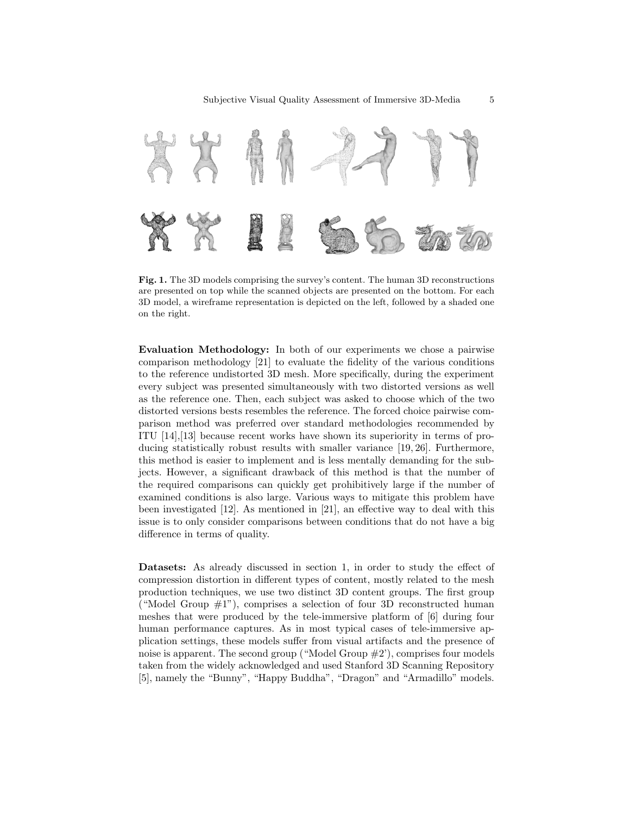

Fig. 1. The 3D models comprising the survey's content. The human 3D reconstructions are presented on top while the scanned objects are presented on the bottom. For each 3D model, a wireframe representation is depicted on the left, followed by a shaded one on the right.

Evaluation Methodology: In both of our experiments we chose a pairwise comparison methodology [21] to evaluate the fidelity of the various conditions to the reference undistorted 3D mesh. More specifically, during the experiment every subject was presented simultaneously with two distorted versions as well as the reference one. Then, each subject was asked to choose which of the two distorted versions bests resembles the reference. The forced choice pairwise comparison method was preferred over standard methodologies recommended by ITU [14],[13] because recent works have shown its superiority in terms of producing statistically robust results with smaller variance [19, 26]. Furthermore, this method is easier to implement and is less mentally demanding for the subjects. However, a significant drawback of this method is that the number of the required comparisons can quickly get prohibitively large if the number of examined conditions is also large. Various ways to mitigate this problem have been investigated [12]. As mentioned in [21], an effective way to deal with this issue is to only consider comparisons between conditions that do not have a big difference in terms of quality.

Datasets: As already discussed in section 1, in order to study the effect of compression distortion in different types of content, mostly related to the mesh production techniques, we use two distinct 3D content groups. The first group ("Model Group  $\#1$ "), comprises a selection of four 3D reconstructed human meshes that were produced by the tele-immersive platform of [6] during four human performance captures. As in most typical cases of tele-immersive application settings, these models suffer from visual artifacts and the presence of noise is apparent. The second group ("Model Group  $\#2$ "), comprises four models taken from the widely acknowledged and used Stanford 3D Scanning Repository [5], namely the "Bunny", "Happy Buddha", "Dragon" and "Armadillo" models.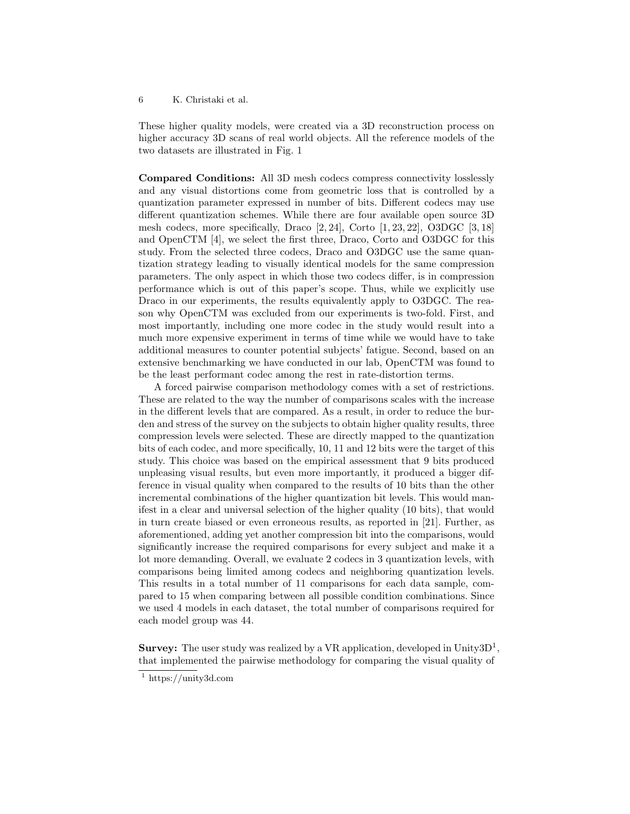These higher quality models, were created via a 3D reconstruction process on higher accuracy 3D scans of real world objects. All the reference models of the two datasets are illustrated in Fig. 1

Compared Conditions: All 3D mesh codecs compress connectivity losslessly and any visual distortions come from geometric loss that is controlled by a quantization parameter expressed in number of bits. Different codecs may use different quantization schemes. While there are four available open source 3D mesh codecs, more specifically, Draco [2, 24], Corto [1, 23, 22], O3DGC [3, 18] and OpenCTM [4], we select the first three, Draco, Corto and O3DGC for this study. From the selected three codecs, Draco and O3DGC use the same quantization strategy leading to visually identical models for the same compression parameters. The only aspect in which those two codecs differ, is in compression performance which is out of this paper's scope. Thus, while we explicitly use Draco in our experiments, the results equivalently apply to O3DGC. The reason why OpenCTM was excluded from our experiments is two-fold. First, and most importantly, including one more codec in the study would result into a much more expensive experiment in terms of time while we would have to take additional measures to counter potential subjects' fatigue. Second, based on an extensive benchmarking we have conducted in our lab, OpenCTM was found to be the least performant codec among the rest in rate-distortion terms.

A forced pairwise comparison methodology comes with a set of restrictions. These are related to the way the number of comparisons scales with the increase in the different levels that are compared. As a result, in order to reduce the burden and stress of the survey on the subjects to obtain higher quality results, three compression levels were selected. These are directly mapped to the quantization bits of each codec, and more specifically, 10, 11 and 12 bits were the target of this study. This choice was based on the empirical assessment that 9 bits produced unpleasing visual results, but even more importantly, it produced a bigger difference in visual quality when compared to the results of 10 bits than the other incremental combinations of the higher quantization bit levels. This would manifest in a clear and universal selection of the higher quality (10 bits), that would in turn create biased or even erroneous results, as reported in [21]. Further, as aforementioned, adding yet another compression bit into the comparisons, would significantly increase the required comparisons for every subject and make it a lot more demanding. Overall, we evaluate 2 codecs in 3 quantization levels, with comparisons being limited among codecs and neighboring quantization levels. This results in a total number of 11 comparisons for each data sample, compared to 15 when comparing between all possible condition combinations. Since we used 4 models in each dataset, the total number of comparisons required for each model group was 44.

**Survey:** The user study was realized by a VR application, developed in Unity3 $D^1$ , that implemented the pairwise methodology for comparing the visual quality of

<sup>1</sup> https://unity3d.com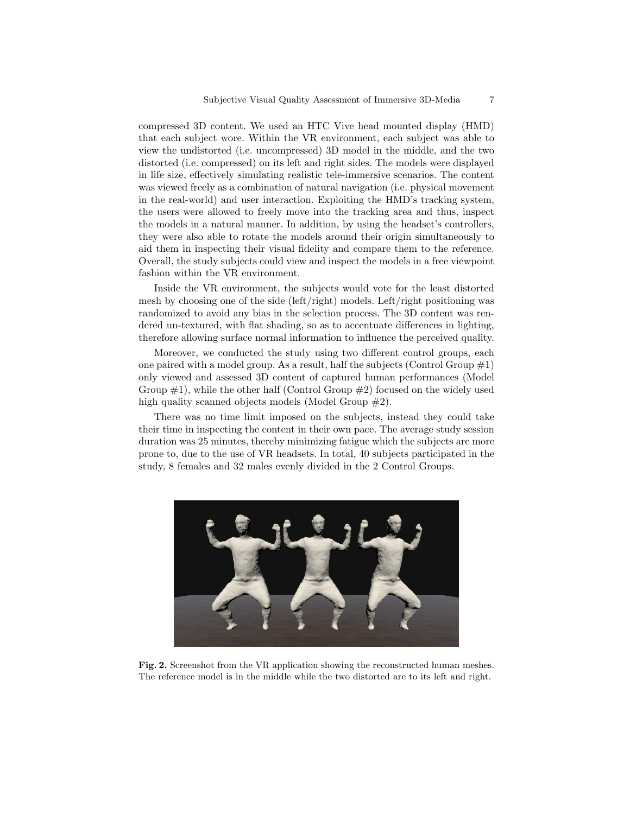compressed 3D content. We used an HTC Vive head mounted display (HMD) that each subject wore. Within the VR environment, each subject was able to view the undistorted (i.e. uncompressed) 3D model in the middle, and the two distorted (i.e. compressed) on its left and right sides. The models were displayed in life size, effectively simulating realistic tele-immersive scenarios. The content was viewed freely as a combination of natural navigation (i.e. physical movement in the real-world) and user interaction. Exploiting the HMD's tracking system, the users were allowed to freely move into the tracking area and thus, inspect the models in a natural manner. In addition, by using the headset's controllers, they were also able to rotate the models around their origin simultaneously to aid them in inspecting their visual fidelity and compare them to the reference. Overall, the study subjects could view and inspect the models in a free viewpoint fashion within the VR environment.

Inside the VR environment, the subjects would vote for the least distorted mesh by choosing one of the side (left/right) models. Left/right positioning was randomized to avoid any bias in the selection process. The 3D content was rendered un-textured, with flat shading, so as to accentuate differences in lighting, therefore allowing surface normal information to influence the perceived quality.

Moreover, we conducted the study using two different control groups, each one paired with a model group. As a result, half the subjects (Control Group  $\#1$ ) only viewed and assessed 3D content of captured human performances (Model Group  $\#1$ ), while the other half (Control Group  $\#2$ ) focused on the widely used high quality scanned objects models (Model Group  $\#2$ ).

There was no time limit imposed on the subjects, instead they could take their time in inspecting the content in their own pace. The average study session duration was 25 minutes, thereby minimizing fatigue which the subjects are more prone to, due to the use of VR headsets. In total, 40 subjects participated in the study, 8 females and 32 males evenly divided in the 2 Control Groups.



Fig. 2. Screenshot from the VR application showing the reconstructed human meshes. The reference model is in the middle while the two distorted are to its left and right.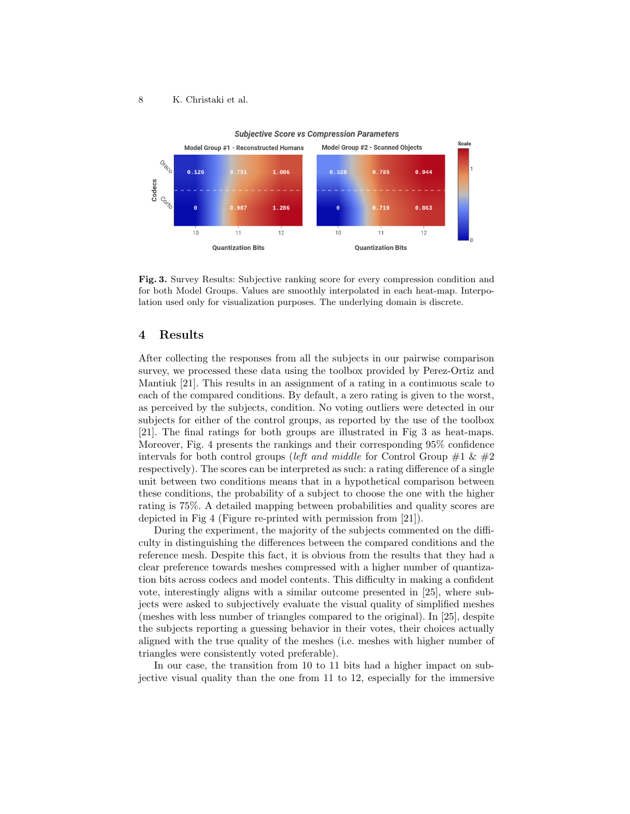

Fig. 3. Survey Results: Subjective ranking score for every compression condition and for both Model Groups. Values are smoothly interpolated in each heat-map. Interpolation used only for visualization purposes. The underlying domain is discrete.

## 4 Results

After collecting the responses from all the subjects in our pairwise comparison survey, we processed these data using the toolbox provided by Perez-Ortiz and Mantiuk [21]. This results in an assignment of a rating in a continuous scale to each of the compared conditions. By default, a zero rating is given to the worst, as perceived by the subjects, condition. No voting outliers were detected in our subjects for either of the control groups, as reported by the use of the toolbox [21]. The final ratings for both groups are illustrated in Fig 3 as heat-maps. Moreover, Fig. 4 presents the rankings and their corresponding 95% confidence intervals for both control groups (left and middle for Control Group  $#1 \& #2$ respectively). The scores can be interpreted as such: a rating difference of a single unit between two conditions means that in a hypothetical comparison between these conditions, the probability of a subject to choose the one with the higher rating is 75%. A detailed mapping between probabilities and quality scores are depicted in Fig 4 (Figure re-printed with permission from [21]).

During the experiment, the majority of the subjects commented on the difficulty in distinguishing the differences between the compared conditions and the reference mesh. Despite this fact, it is obvious from the results that they had a clear preference towards meshes compressed with a higher number of quantization bits across codecs and model contents. This difficulty in making a confident vote, interestingly aligns with a similar outcome presented in [25], where subjects were asked to subjectively evaluate the visual quality of simplified meshes (meshes with less number of triangles compared to the original). In [25], despite the subjects reporting a guessing behavior in their votes, their choices actually aligned with the true quality of the meshes (i.e. meshes with higher number of triangles were consistently voted preferable).

In our case, the transition from 10 to 11 bits had a higher impact on subjective visual quality than the one from 11 to 12, especially for the immersive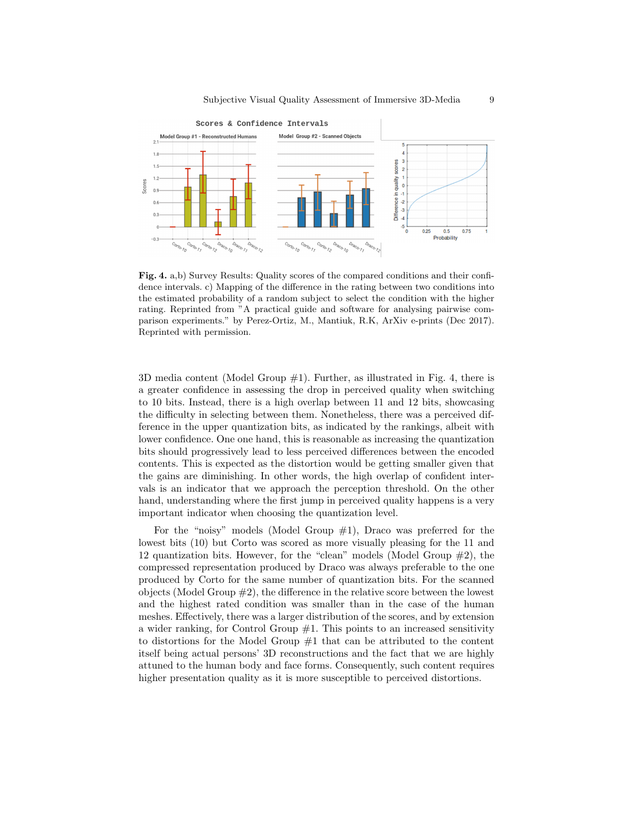

Fig. 4. a,b) Survey Results: Quality scores of the compared conditions and their confidence intervals. c) Mapping of the difference in the rating between two conditions into the estimated probability of a random subject to select the condition with the higher rating. Reprinted from "A practical guide and software for analysing pairwise comparison experiments." by Perez-Ortiz, M., Mantiuk, R.K, ArXiv e-prints (Dec 2017). Reprinted with permission.

3D media content (Model Group  $#1$ ). Further, as illustrated in Fig. 4, there is a greater confidence in assessing the drop in perceived quality when switching to 10 bits. Instead, there is a high overlap between 11 and 12 bits, showcasing the difficulty in selecting between them. Nonetheless, there was a perceived difference in the upper quantization bits, as indicated by the rankings, albeit with lower confidence. One one hand, this is reasonable as increasing the quantization bits should progressively lead to less perceived differences between the encoded contents. This is expected as the distortion would be getting smaller given that the gains are diminishing. In other words, the high overlap of confident intervals is an indicator that we approach the perception threshold. On the other hand, understanding where the first jump in perceived quality happens is a very important indicator when choosing the quantization level.

For the "noisy" models (Model Group  $#1$ ), Draco was preferred for the lowest bits (10) but Corto was scored as more visually pleasing for the 11 and 12 quantization bits. However, for the "clean" models (Model Group  $#2$ ), the compressed representation produced by Draco was always preferable to the one produced by Corto for the same number of quantization bits. For the scanned objects (Model Group  $#2$ ), the difference in the relative score between the lowest and the highest rated condition was smaller than in the case of the human meshes. Effectively, there was a larger distribution of the scores, and by extension a wider ranking, for Control Group  $#1$ . This points to an increased sensitivity to distortions for the Model Group  $#1$  that can be attributed to the content itself being actual persons' 3D reconstructions and the fact that we are highly attuned to the human body and face forms. Consequently, such content requires higher presentation quality as it is more susceptible to perceived distortions.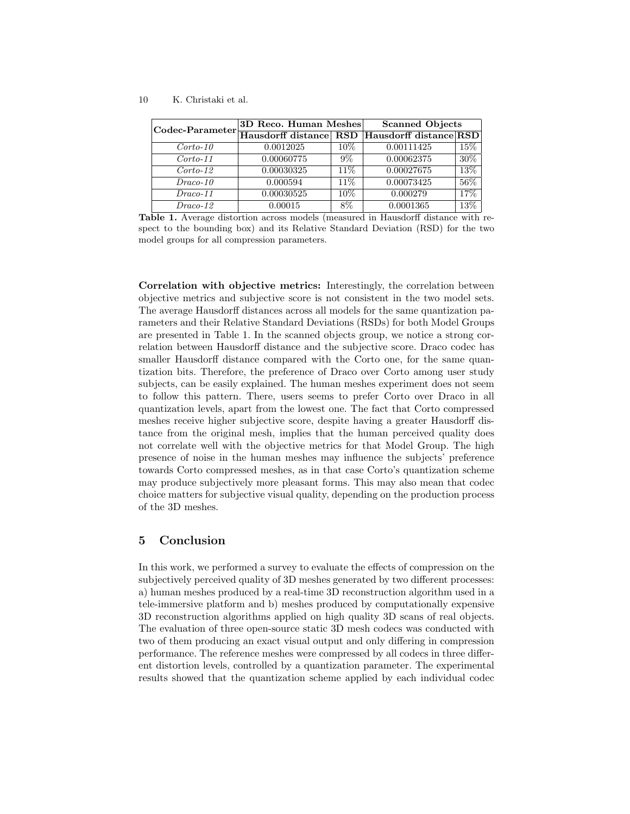| Codec-Parameter | 3D Reco. Human Meshes |        | <b>Scanned Objects</b>                        |     |
|-----------------|-----------------------|--------|-----------------------------------------------|-----|
|                 |                       |        | Hausdorff distance RSD Hausdorff distance RSD |     |
| $Corto-10$      | 0.0012025             | $10\%$ | 0.00111425                                    | 15% |
| $Corto-11$      | 0.00060775            | $9\%$  | 0.00062375                                    | 30% |
| $Corto-12$      | 0.00030325            | 11\%   | 0.00027675                                    | 13% |
| $Draco-10$      | 0.000594              | $11\%$ | 0.00073425                                    | 56% |
| $Draco-11$      | 0.00030525            | $10\%$ | 0.000279                                      | 17% |
| $Draco-12$      | 0.00015               | 8%     | 0.0001365                                     | 13% |

Table 1. Average distortion across models (measured in Hausdorff distance with respect to the bounding box) and its Relative Standard Deviation (RSD) for the two model groups for all compression parameters.

Correlation with objective metrics: Interestingly, the correlation between objective metrics and subjective score is not consistent in the two model sets. The average Hausdorff distances across all models for the same quantization parameters and their Relative Standard Deviations (RSDs) for both Model Groups are presented in Table 1. In the scanned objects group, we notice a strong correlation between Hausdorff distance and the subjective score. Draco codec has smaller Hausdorff distance compared with the Corto one, for the same quantization bits. Therefore, the preference of Draco over Corto among user study subjects, can be easily explained. The human meshes experiment does not seem to follow this pattern. There, users seems to prefer Corto over Draco in all quantization levels, apart from the lowest one. The fact that Corto compressed meshes receive higher subjective score, despite having a greater Hausdorff distance from the original mesh, implies that the human perceived quality does not correlate well with the objective metrics for that Model Group. The high presence of noise in the human meshes may influence the subjects' preference towards Corto compressed meshes, as in that case Corto's quantization scheme may produce subjectively more pleasant forms. This may also mean that codec choice matters for subjective visual quality, depending on the production process of the 3D meshes.

## 5 Conclusion

In this work, we performed a survey to evaluate the effects of compression on the subjectively perceived quality of 3D meshes generated by two different processes: a) human meshes produced by a real-time 3D reconstruction algorithm used in a tele-immersive platform and b) meshes produced by computationally expensive 3D reconstruction algorithms applied on high quality 3D scans of real objects. The evaluation of three open-source static 3D mesh codecs was conducted with two of them producing an exact visual output and only differing in compression performance. The reference meshes were compressed by all codecs in three different distortion levels, controlled by a quantization parameter. The experimental results showed that the quantization scheme applied by each individual codec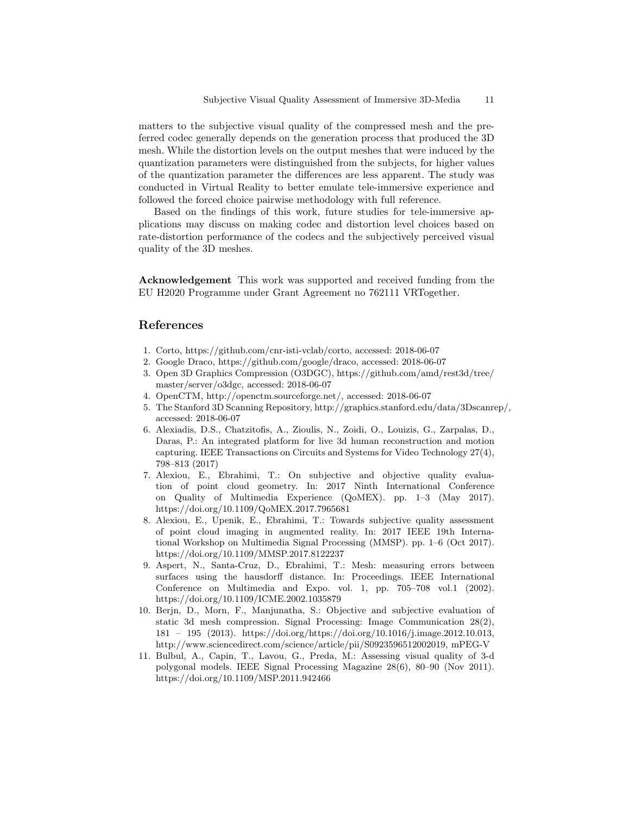matters to the subjective visual quality of the compressed mesh and the preferred codec generally depends on the generation process that produced the 3D mesh. While the distortion levels on the output meshes that were induced by the quantization parameters were distinguished from the subjects, for higher values of the quantization parameter the differences are less apparent. The study was conducted in Virtual Reality to better emulate tele-immersive experience and followed the forced choice pairwise methodology with full reference.

Based on the findings of this work, future studies for tele-immersive applications may discuss on making codec and distortion level choices based on rate-distortion performance of the codecs and the subjectively perceived visual quality of the 3D meshes.

Acknowledgement This work was supported and received funding from the EU H2020 Programme under Grant Agreement no 762111 VRTogether.

### References

- 1. Corto, https://github.com/cnr-isti-vclab/corto, accessed: 2018-06-07
- 2. Google Draco, https://github.com/google/draco, accessed: 2018-06-07
- 3. Open 3D Graphics Compression (O3DGC), https://github.com/amd/rest3d/tree/ master/server/o3dgc, accessed: 2018-06-07
- 4. OpenCTM, http://openctm.sourceforge.net/, accessed: 2018-06-07
- 5. The Stanford 3D Scanning Repository, http://graphics.stanford.edu/data/3Dscanrep/, accessed: 2018-06-07
- 6. Alexiadis, D.S., Chatzitofis, A., Zioulis, N., Zoidi, O., Louizis, G., Zarpalas, D., Daras, P.: An integrated platform for live 3d human reconstruction and motion capturing. IEEE Transactions on Circuits and Systems for Video Technology 27(4), 798–813 (2017)
- 7. Alexiou, E., Ebrahimi, T.: On subjective and objective quality evaluation of point cloud geometry. In: 2017 Ninth International Conference on Quality of Multimedia Experience (QoMEX). pp. 1–3 (May 2017). https://doi.org/10.1109/QoMEX.2017.7965681
- 8. Alexiou, E., Upenik, E., Ebrahimi, T.: Towards subjective quality assessment of point cloud imaging in augmented reality. In: 2017 IEEE 19th International Workshop on Multimedia Signal Processing (MMSP). pp. 1–6 (Oct 2017). https://doi.org/10.1109/MMSP.2017.8122237
- 9. Aspert, N., Santa-Cruz, D., Ebrahimi, T.: Mesh: measuring errors between surfaces using the hausdorff distance. In: Proceedings. IEEE International Conference on Multimedia and Expo. vol. 1, pp. 705–708 vol.1 (2002). https://doi.org/10.1109/ICME.2002.1035879
- 10. Berjn, D., Morn, F., Manjunatha, S.: Objective and subjective evaluation of static 3d mesh compression. Signal Processing: Image Communication 28(2), 181 – 195 (2013). https://doi.org/https://doi.org/10.1016/j.image.2012.10.013, http://www.sciencedirect.com/science/article/pii/S0923596512002019, mPEG-V
- 11. Bulbul, A., Capin, T., Lavou, G., Preda, M.: Assessing visual quality of 3-d polygonal models. IEEE Signal Processing Magazine 28(6), 80–90 (Nov 2011). https://doi.org/10.1109/MSP.2011.942466